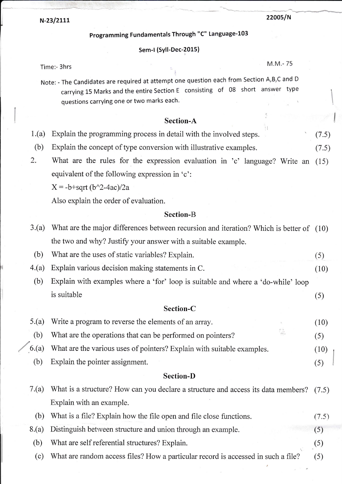N-23/2111

## 22005/N

# Programming Fundamentals Through "C" Language-103

#### Sem-l (Syll-Dec-2015)

Time:- 3hrs M.M.- <sup>75</sup>

Note: - The Candidates are required at attempt one question each from Section A,B,C and <sup>D</sup> carrying L5 Marks and the entire Section E consisting of 08 short answer type questions carrying one or two marks each.

# Section-A

| 1.(a) Explain the programming process in detail with the involved steps. | (7.5) |
|--------------------------------------------------------------------------|-------|
|                                                                          |       |

- (b) Explain the concept of type conversion with illustrative examples. (7.5)
- 2. What are the rules for the expression evaluation in 'c' language? Write an (15) equivalent of the following expression in'c':

 $X = -b + \sqrt{b^2 - 4ac}$  /2a

Also explain the order of evaluation.

## Section-B

| 3.(a)            | What are the major differences between recursion and iteration? Which is better of (10) |       |  |  |  |  |  |
|------------------|-----------------------------------------------------------------------------------------|-------|--|--|--|--|--|
|                  | the two and why? Justify your answer with a suitable example.                           |       |  |  |  |  |  |
| (b)              | What are the uses of static variables? Explain.                                         | (5)   |  |  |  |  |  |
| 4.(a)            | Explain various decision making statements in C.                                        | (10)  |  |  |  |  |  |
| (b)              | Explain with examples where a 'for' loop is suitable and where a 'do-while' loop        |       |  |  |  |  |  |
|                  | is suitable                                                                             | (5)   |  |  |  |  |  |
|                  | Section-C                                                                               |       |  |  |  |  |  |
| 5.(a)            | Write a program to reverse the elements of an array.                                    | (10)  |  |  |  |  |  |
| (b)              | What are the operations that can be performed on pointers?                              | (5)   |  |  |  |  |  |
| 6.(a)            | What are the various uses of pointers? Explain with suitable examples.                  | (10)  |  |  |  |  |  |
| (b)              | Explain the pointer assignment.                                                         | (5)   |  |  |  |  |  |
| <b>Section-D</b> |                                                                                         |       |  |  |  |  |  |
| 7.(a)            | What is a structure? How can you declare a structure and access its data members?       | (7.5) |  |  |  |  |  |
|                  | Explain with an example.                                                                |       |  |  |  |  |  |
| (b)              | What is a file? Explain how the file open and file close functions.                     | (7.5) |  |  |  |  |  |
| 8.(a)            | Distinguish between structure and union through an example.                             | (5)   |  |  |  |  |  |
| (b)              | What are self referential structures? Explain.                                          | (5)   |  |  |  |  |  |
| (c)              | What are random access files? How a particular record is accessed in such a file?       | (5)   |  |  |  |  |  |
|                  |                                                                                         |       |  |  |  |  |  |